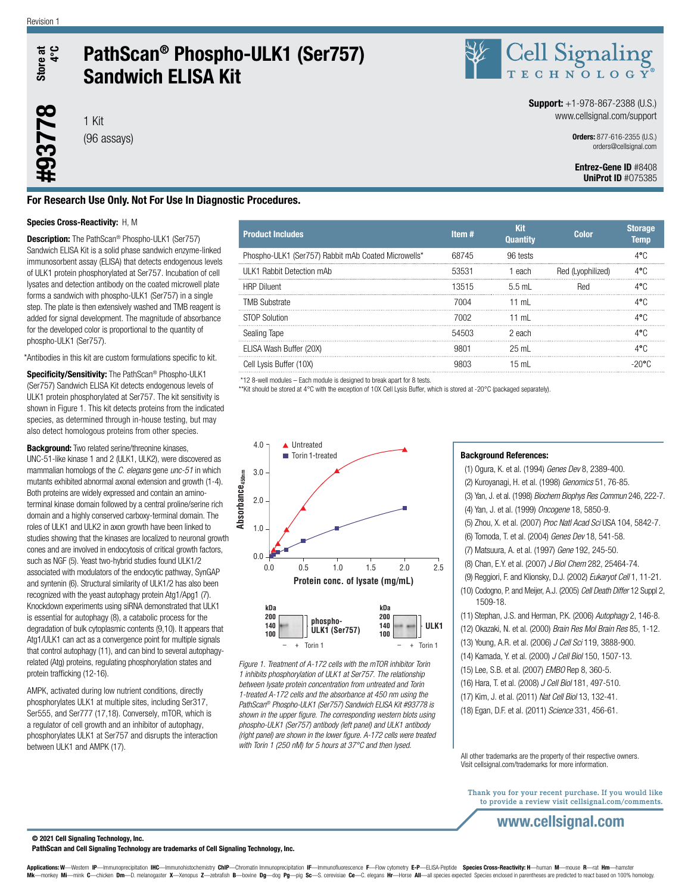Store at<br>4°C **#93778** Store at

## PathScan® Phospho-ULK1 (Ser757) Sandwich ELISA Kit



**Support:**  $+1-978-867-2388$  (U.S.) www.cellsignal.com/support

> Orders: 877-616-2355 (U.S.) orders@cellsignal.com

### Entrez-Gene ID #8408 UniProt ID #O75385

### For Research Use Only. Not For Use In Diagnostic Procedures.

### Species Cross-Reactivity: H, M

1 Kit (96 assays)

**Description:** The PathScan® Phospho-ULK1 (Ser757) Sandwich ELISA Kit is a solid phase sandwich enzyme-linked immunosorbent assay (ELISA) that detects endogenous levels of ULK1 protein phosphorylated at Ser757. Incubation of cell lysates and detection antibody on the coated microwell plate forms a sandwich with phospho-ULK1 (Ser757) in a single step. The plate is then extensively washed and TMB reagent is added for signal development. The magnitude of absorbance for the developed color is proportional to the quantity of phospho-ULK1 (Ser757).

\*Antibodies in this kit are custom formulations specific to kit.

Specificity/Sensitivity: The PathScan® Phospho-ULK1 (Ser757) Sandwich ELISA Kit detects endogenous levels of ULK1 protein phosphorylated at Ser757. The kit sensitivity is shown in Figure 1. This kit detects proteins from the indicated species, as determined through in-house testing, but may also detect homologous proteins from other species.

**Background:** Two related serine/threonine kinases, UNC-51-like kinase 1 and 2 (ULK1, ULK2), were discovered as mammalian homologs of the *C. elegans* gene *unc-51* in which mutants exhibited abnormal axonal extension and growth (1-4). Both proteins are widely expressed and contain an aminoterminal kinase domain followed by a central proline/serine rich domain and a highly conserved carboxy-terminal domain. The roles of ULK1 and ULK2 in axon growth have been linked to studies showing that the kinases are localized to neuronal growth cones and are involved in endocytosis of critical growth factors, such as NGF (5). Yeast two-hybrid studies found ULK1/2 associated with modulators of the endocytic pathway, SynGAP and syntenin (6). Structural similarity of ULK1/2 has also been recognized with the yeast autophagy protein Atg1/Apg1 (7). Knockdown experiments using siRNA demonstrated that ULK1 is essential for autophagy (8), a catabolic process for the degradation of bulk cytoplasmic contents (9,10). It appears that Atg1/ULK1 can act as a convergence point for multiple signals that control autophagy (11), and can bind to several autophagyrelated (Atg) proteins, regulating phosphorylation states and protein trafficking (12-16).

AMPK, activated during low nutrient conditions, directly phosphorylates ULK1 at multiple sites, including Ser317, Ser555, and Ser777 (17,18). Conversely, mTOR, which is a regulator of cell growth and an inhibitor of autophagy, phosphorylates ULK1 at Ser757 and disrupts the interaction between ULK1 and AMPK (17).

| <b>Product Includes</b>                             | Item# | Kit<br><b>Quantity</b> | <b>Color</b>      | <b>Storage</b><br><b>Temp</b> |
|-----------------------------------------------------|-------|------------------------|-------------------|-------------------------------|
| Phospho-ULK1 (Ser757) Rabbit mAb Coated Microwells* | 68745 | 96 tests               |                   |                               |
| ULK1 Rabbit Detection mAb                           | 53531 | each                   | Red (Lvophilized) | 4.°C                          |
| <b>HRP Diluent</b>                                  | 13515 | 5.5 ml                 | Red               | 4°C                           |
| <b>TMB Substrate</b>                                | 7004  | 11 mL                  |                   | 1°∩                           |
| STOP Solution                                       | 7002. | 11 ml                  |                   | 1°∩                           |
| Sealing Tape                                        | 54503 | 2 each                 |                   | 4°∩.                          |
| ELISA Wash Buffer (20X)                             |       | 25 mL                  |                   |                               |
| Cell Lysis Buffer (10X)                             |       | 15 <sub>m</sub>        |                   |                               |

\*12 8-well modules – Each module is designed to break apart for 8 tests.

\*\*Kit should be stored at 4°C with the exception of 10X Cell Lysis Buffer, which is stored at -20°C (packaged separately).



*Figure 1. Treatment of A-172 cells with the mTOR inhibitor Torin 1 inhibits phosphorylation of ULK1 at Ser757. The relationship between lysate protein concentration from untreated and Torin 1-treated A-172 cells and the absorbance at 450 nm using the PathScan® Phospho-ULK1 (Ser757) Sandwich ELISA Kit #93778 is shown in the upper figure. The corresponding western blots using phospho-ULK1 (Ser757) antibody (left panel) and ULK1 antibody (right panel) are shown in the lower figure. A-172 cells were treated with Torin 1 (250 nM) for 5 hours at 37°C and then lysed.*

### Background References:

(1) Ogura, K. et al. (1994) *Genes Dev* 8, 2389-400. (2) Kuroyanagi, H. et al. (1998) *Genomics* 51, 76-85. (3) Yan, J. et al. (1998) *Biochem Biophys Res Commun* 246, 222-7. (4) Yan, J. et al. (1999) *Oncogene* 18, 5850-9. (5) Zhou, X. et al. (2007) *Proc Natl Acad Sci* USA 104, 5842-7. (6) Tomoda, T. et al. (2004) *Genes Dev* 18, 541-58. (7) Matsuura, A. et al. (1997) *Gene* 192, 245-50. (8) Chan, E.Y. et al. (2007) *J Biol Chem* 282, 25464-74. (9) Reggiori, F. and Klionsky, D.J. (2002) *Eukaryot Cell* 1, 11-21. (10) Codogno, P. and Meijer, A.J. (2005) *Cell Death Differ* 12 Suppl 2, 1509-18. (11) Stephan, J.S. and Herman, P.K. (2006) *Autophagy* 2, 146-8. (12) Okazaki, N. et al. (2000) *Brain Res Mol Brain Res* 85, 1-12. (13) Young, A.R. et al. (2006) *J Cell Sci* 119, 3888-900. (14) Kamada, Y. et al. (2000) *J Cell Biol* 150, 1507-13. (15) Lee, S.B. et al. (2007) *EMBO* Rep 8, 360-5.

- (16) Hara, T. et al. (2008) *J Cell Biol* 181, 497-510.
- (17) Kim, J. et al. (2011) *Nat Cell Biol* 13, 132-41.
- (18) Egan, D.F. et al. (2011) *Science* 331, 456-61.

All other trademarks are the property of their respective owners. Visit cellsignal.com/trademarks for more information.

Thank you for your recent purchase. If you would like to provide a review visit cellsignal.com/comments.

### www.cellsignal.com

© 2021 Cell Signaling Technology, Inc.

PathScan and Cell Signaling Technology are trademarks of Cell Signaling Technology, Inc.

Applications: W—Western IP—Immunoprecipitation IHC—Immunohistochemistry ChIP—Chromatin Immunoprecipitation IF—Immunofluorescence F—Flow cytometry E-P—ELISA-Peptide Species Cross-Reactivity: H—human M—mouse R—rat Hm—hamster monkey Mi-mink C-chicken Dm-D. melanogaster X-Xenopus Z-zebrafish B-bovine Dg-dog Pg-pig Sc-S. cerevisiae Ce-C. elegans Hr-Horse All-all species expected Species enclosed in parentheses are predicted to react based on 100%